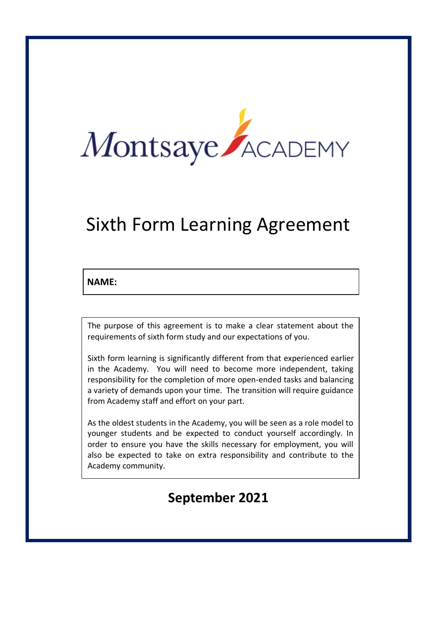

# Sixth Form Learning Agreement

# **NAME:**

The purpose of this agreement is to make a clear statement about the requirements of sixth form study and our expectations of you.

Sixth form learning is significantly different from that experienced earlier in the Academy. You will need to become more independent, taking responsibility for the completion of more open-ended tasks and balancing a variety of demands upon your time. The transition will require guidance from Academy staff and effort on your part.

As the oldest students in the Academy, you will be seen as a role model to younger students and be expected to conduct yourself accordingly. In order to ensure you have the skills necessary for employment, you will also be expected to take on extra responsibility and contribute to the Academy community.

# **September 2021**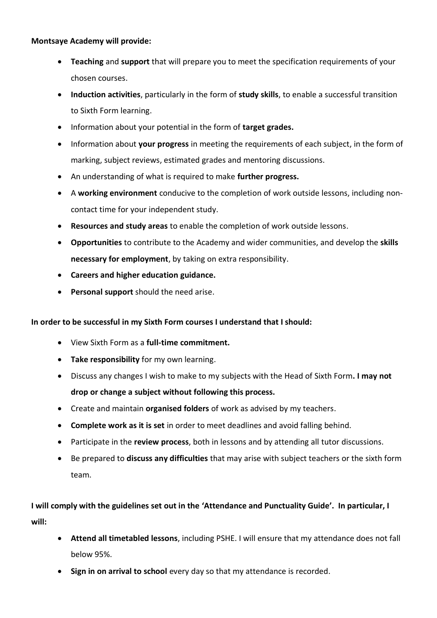#### **Montsaye Academy will provide:**

- **Teaching** and **support** that will prepare you to meet the specification requirements of your chosen courses.
- **Induction activities**, particularly in the form of **study skills**, to enable a successful transition to Sixth Form learning.
- Information about your potential in the form of **target grades.**
- Information about **your progress** in meeting the requirements of each subject, in the form of marking, subject reviews, estimated grades and mentoring discussions.
- An understanding of what is required to make **further progress.**
- A **working environment** conducive to the completion of work outside lessons, including noncontact time for your independent study.
- **Resources and study areas** to enable the completion of work outside lessons.
- **Opportunities** to contribute to the Academy and wider communities, and develop the **skills necessary for employment**, by taking on extra responsibility.
- **Careers and higher education guidance.**
- **Personal support** should the need arise.

#### **In order to be successful in my Sixth Form courses I understand that I should:**

- View Sixth Form as a **full-time commitment.**
- **Take responsibility** for my own learning.
- Discuss any changes I wish to make to my subjects with the Head of Sixth Form**. I may not drop or change a subject without following this process.**
- Create and maintain **organised folders** of work as advised by my teachers.
- **Complete work as it is set** in order to meet deadlines and avoid falling behind.
- Participate in the **review process**, both in lessons and by attending all tutor discussions.
- Be prepared to **discuss any difficulties** that may arise with subject teachers or the sixth form team.

# **I will comply with the guidelines set out in the 'Attendance and Punctuality Guide'. In particular, I will:**

- **Attend all timetabled lessons**, including PSHE. I will ensure that my attendance does not fall below 95%.
- **Sign in on arrival to school** every day so that my attendance is recorded.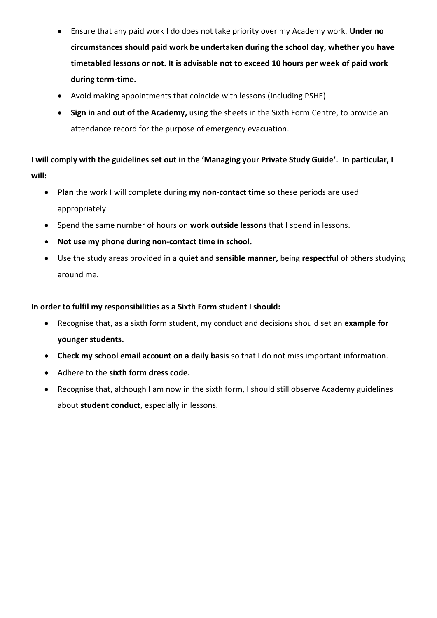- Ensure that any paid work I do does not take priority over my Academy work. **Under no circumstances should paid work be undertaken during the school day, whether you have timetabled lessons or not. It is advisable not to exceed 10 hours per week of paid work during term-time.**
- Avoid making appointments that coincide with lessons (including PSHE).
- **Sign in and out of the Academy,** using the sheets in the Sixth Form Centre, to provide an attendance record for the purpose of emergency evacuation.

**I will comply with the guidelines set out in the 'Managing your Private Study Guide'. In particular, I will:**

- **Plan** the work I will complete during **my non-contact time** so these periods are used appropriately.
- Spend the same number of hours on **work outside lessons** that I spend in lessons.
- **Not use my phone during non-contact time in school.**
- Use the study areas provided in a **quiet and sensible manner,** being **respectful** of others studying around me.

#### **In order to fulfil my responsibilities as a Sixth Form student I should:**

- Recognise that, as a sixth form student, my conduct and decisions should set an **example for younger students.**
- **Check my school email account on a daily basis** so that I do not miss important information.
- Adhere to the **sixth form dress code.**
- Recognise that, although I am now in the sixth form, I should still observe Academy guidelines about **student conduct**, especially in lessons.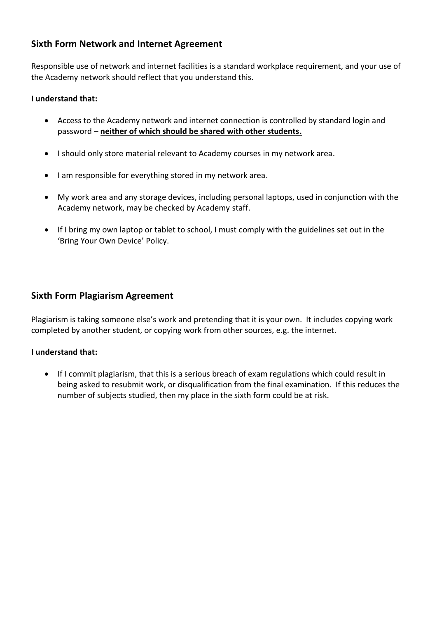# **Sixth Form Network and Internet Agreement**

Responsible use of network and internet facilities is a standard workplace requirement, and your use of the Academy network should reflect that you understand this.

#### **I understand that:**

- Access to the Academy network and internet connection is controlled by standard login and password – **neither of which should be shared with other students.**
- I should only store material relevant to Academy courses in my network area.
- I am responsible for everything stored in my network area.
- My work area and any storage devices, including personal laptops, used in conjunction with the Academy network, may be checked by Academy staff.
- If I bring my own laptop or tablet to school, I must comply with the guidelines set out in the 'Bring Your Own Device' Policy.

# **Sixth Form Plagiarism Agreement**

Plagiarism is taking someone else's work and pretending that it is your own. It includes copying work completed by another student, or copying work from other sources, e.g. the internet.

#### **I understand that:**

• If I commit plagiarism, that this is a serious breach of exam regulations which could result in being asked to resubmit work, or disqualification from the final examination. If this reduces the number of subjects studied, then my place in the sixth form could be at risk.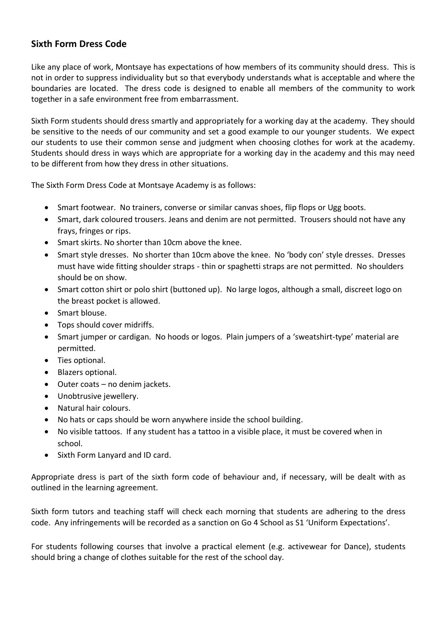# **Sixth Form Dress Code**

Like any place of work, Montsaye has expectations of how members of its community should dress. This is not in order to suppress individuality but so that everybody understands what is acceptable and where the boundaries are located. The dress code is designed to enable all members of the community to work together in a safe environment free from embarrassment.

Sixth Form students should dress smartly and appropriately for a working day at the academy. They should be sensitive to the needs of our community and set a good example to our younger students. We expect our students to use their common sense and judgment when choosing clothes for work at the academy. Students should dress in ways which are appropriate for a working day in the academy and this may need to be different from how they dress in other situations.

The Sixth Form Dress Code at Montsaye Academy is as follows:

- Smart footwear. No trainers, converse or similar canvas shoes, flip flops or Ugg boots.
- Smart, dark coloured trousers. Jeans and denim are not permitted. Trousers should not have any frays, fringes or rips.
- Smart skirts. No shorter than 10cm above the knee.
- Smart style dresses. No shorter than 10cm above the knee. No 'body con' style dresses. Dresses must have wide fitting shoulder straps - thin or spaghetti straps are not permitted. No shoulders should be on show.
- Smart cotton shirt or polo shirt (buttoned up). No large logos, although a small, discreet logo on the breast pocket is allowed.
- Smart blouse.
- Tops should cover midriffs.
- Smart jumper or cardigan. No hoods or logos. Plain jumpers of a 'sweatshirt-type' material are permitted.
- Ties optional.
- Blazers optional.
- Outer coats no denim jackets.
- Unobtrusive jewellery.
- Natural hair colours.
- No hats or caps should be worn anywhere inside the school building.
- No visible tattoos. If any student has a tattoo in a visible place, it must be covered when in school.
- Sixth Form Lanyard and ID card.

Appropriate dress is part of the sixth form code of behaviour and, if necessary, will be dealt with as outlined in the learning agreement.

Sixth form tutors and teaching staff will check each morning that students are adhering to the dress code. Any infringements will be recorded as a sanction on Go 4 School as S1 'Uniform Expectations'.

For students following courses that involve a practical element (e.g. activewear for Dance), students should bring a change of clothes suitable for the rest of the school day.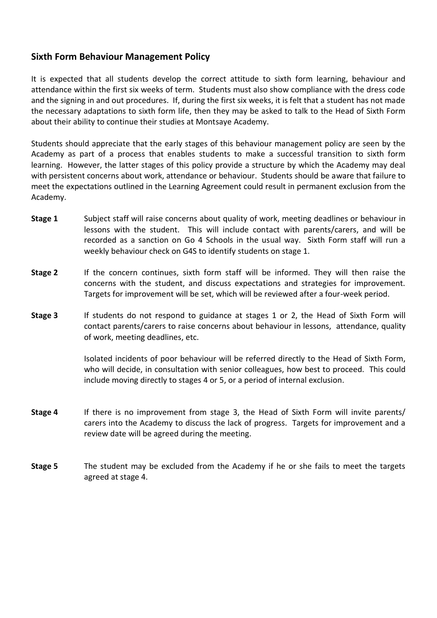#### **Sixth Form Behaviour Management Policy**

It is expected that all students develop the correct attitude to sixth form learning, behaviour and attendance within the first six weeks of term. Students must also show compliance with the dress code and the signing in and out procedures. If, during the first six weeks, it is felt that a student has not made the necessary adaptations to sixth form life, then they may be asked to talk to the Head of Sixth Form about their ability to continue their studies at Montsaye Academy.

Students should appreciate that the early stages of this behaviour management policy are seen by the Academy as part of a process that enables students to make a successful transition to sixth form learning. However, the latter stages of this policy provide a structure by which the Academy may deal with persistent concerns about work, attendance or behaviour. Students should be aware that failure to meet the expectations outlined in the Learning Agreement could result in permanent exclusion from the Academy.

- **Stage 1** Subject staff will raise concerns about quality of work, meeting deadlines or behaviour in lessons with the student. This will include contact with parents/carers, and will be recorded as a sanction on Go 4 Schools in the usual way. Sixth Form staff will run a weekly behaviour check on G4S to identify students on stage 1.
- **Stage 2** If the concern continues, sixth form staff will be informed. They will then raise the concerns with the student, and discuss expectations and strategies for improvement. Targets for improvement will be set, which will be reviewed after a four-week period.
- **Stage 3** If students do not respond to guidance at stages 1 or 2, the Head of Sixth Form will contact parents/carers to raise concerns about behaviour in lessons, attendance, quality of work, meeting deadlines, etc.

Isolated incidents of poor behaviour will be referred directly to the Head of Sixth Form, who will decide, in consultation with senior colleagues, how best to proceed. This could include moving directly to stages 4 or 5, or a period of internal exclusion.

- **Stage 4** If there is no improvement from stage 3, the Head of Sixth Form will invite parents/ carers into the Academy to discuss the lack of progress. Targets for improvement and a review date will be agreed during the meeting.
- **Stage 5** The student may be excluded from the Academy if he or she fails to meet the targets agreed at stage 4.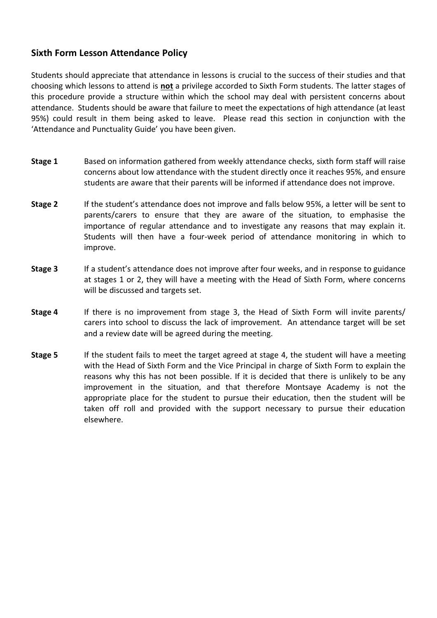#### **Sixth Form Lesson Attendance Policy**

Students should appreciate that attendance in lessons is crucial to the success of their studies and that choosing which lessons to attend is **not** a privilege accorded to Sixth Form students. The latter stages of this procedure provide a structure within which the school may deal with persistent concerns about attendance. Students should be aware that failure to meet the expectations of high attendance (at least 95%) could result in them being asked to leave. Please read this section in conjunction with the 'Attendance and Punctuality Guide' you have been given.

- **Stage 1** Based on information gathered from weekly attendance checks, sixth form staff will raise concerns about low attendance with the student directly once it reaches 95%, and ensure students are aware that their parents will be informed if attendance does not improve.
- **Stage 2** If the student's attendance does not improve and falls below 95%, a letter will be sent to parents/carers to ensure that they are aware of the situation, to emphasise the importance of regular attendance and to investigate any reasons that may explain it. Students will then have a four-week period of attendance monitoring in which to improve.
- **Stage 3** If a student's attendance does not improve after four weeks, and in response to guidance at stages 1 or 2, they will have a meeting with the Head of Sixth Form, where concerns will be discussed and targets set.
- **Stage 4** If there is no improvement from stage 3, the Head of Sixth Form will invite parents/ carers into school to discuss the lack of improvement. An attendance target will be set and a review date will be agreed during the meeting.
- **Stage 5** If the student fails to meet the target agreed at stage 4, the student will have a meeting with the Head of Sixth Form and the Vice Principal in charge of Sixth Form to explain the reasons why this has not been possible. If it is decided that there is unlikely to be any improvement in the situation, and that therefore Montsaye Academy is not the appropriate place for the student to pursue their education, then the student will be taken off roll and provided with the support necessary to pursue their education elsewhere.